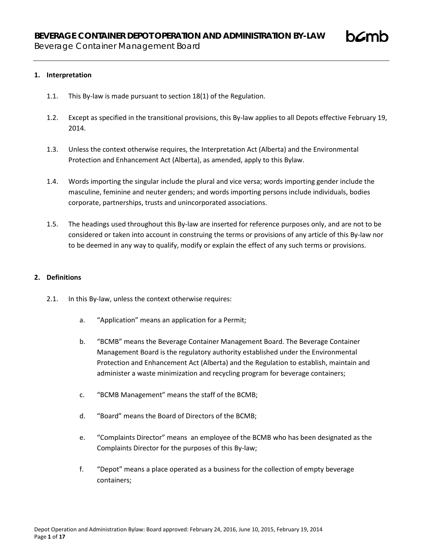## **1. Interpretation**

- 1.1. This By-law is made pursuant to section 18(1) of the Regulation.
- 1.2. Except as specified in the transitional provisions, this By-law applies to all Depots effective February 19, 2014.
- 1.3. Unless the context otherwise requires, the Interpretation Act (Alberta) and the Environmental Protection and Enhancement Act (Alberta), as amended, apply to this Bylaw.
- 1.4. Words importing the singular include the plural and vice versa; words importing gender include the masculine, feminine and neuter genders; and words importing persons include individuals, bodies corporate, partnerships, trusts and unincorporated associations.
- 1.5. The headings used throughout this By-law are inserted for reference purposes only, and are not to be considered or taken into account in construing the terms or provisions of any article of this By-law nor to be deemed in any way to qualify, modify or explain the effect of any such terms or provisions.

## **2. Definitions**

- 2.1. In this By-law, unless the context otherwise requires:
	- a. "Application" means an application for a Permit;
	- b. "BCMB" means the Beverage Container Management Board. The Beverage Container Management Board is the regulatory authority established under the Environmental Protection and Enhancement Act (Alberta) and the Regulation to establish, maintain and administer a waste minimization and recycling program for beverage containers;
	- c. "BCMB Management" means the staff of the BCMB;
	- d. "Board" means the Board of Directors of the BCMB;
	- e. "Complaints Director" means an employee of the BCMB who has been designated as the Complaints Director for the purposes of this By-law;
	- f. "Depot" means a place operated as a business for the collection of empty beverage containers;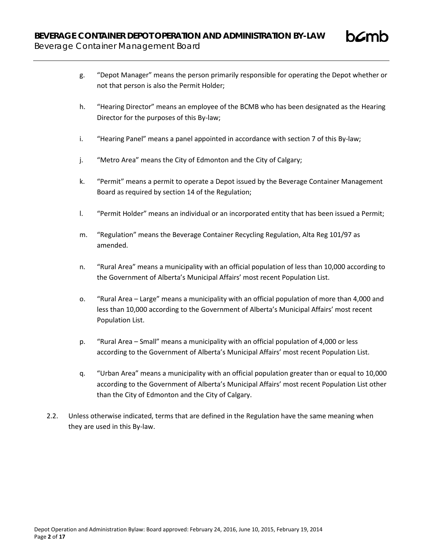

- h. "Hearing Director" means an employee of the BCMB who has been designated as the Hearing Director for the purposes of this By-law;
- i. "Hearing Panel" means a panel appointed in accordance with section 7 of this By-law;
- j. "Metro Area" means the City of Edmonton and the City of Calgary;
- k. "Permit" means a permit to operate a Depot issued by the Beverage Container Management Board as required by section 14 of the Regulation;
- l. "Permit Holder" means an individual or an incorporated entity that has been issued a Permit;
- m. "Regulation" means the Beverage Container Recycling Regulation, Alta Reg 101/97 as amended.
- n. "Rural Area" means a municipality with an official population of less than 10,000 according to the Government of Alberta's Municipal Affairs' most recent Population List.
- o. "Rural Area Large" means a municipality with an official population of more than 4,000 and less than 10,000 according to the Government of Alberta's Municipal Affairs' most recent Population List.
- p. "Rural Area Small" means a municipality with an official population of 4,000 or less according to the Government of Alberta's Municipal Affairs' most recent Population List.
- q. "Urban Area" means a municipality with an official population greater than or equal to 10,000 according to the Government of Alberta's Municipal Affairs' most recent Population List other than the City of Edmonton and the City of Calgary.
- 2.2. Unless otherwise indicated, terms that are defined in the Regulation have the same meaning when they are used in this By-law.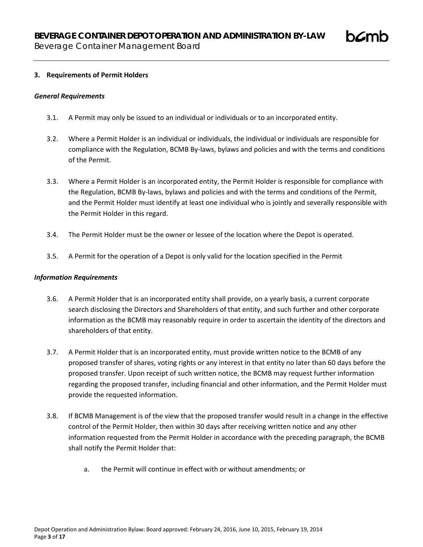## **3. Requirements of Permit Holders**

### *General Requirements*

- 3.1. A Permit may only be issued to an individual or individuals or to an incorporated entity.
- 3.2. Where a Permit Holder is an individual or individuals, the individual or individuals are responsible for compliance with the Regulation, BCMB By-laws, bylaws and policies and with the terms and conditions of the Permit.
- 3.3. Where a Permit Holder is an incorporated entity, the Permit Holder is responsible for compliance with the Regulation, BCMB By-laws, bylaws and policies and with the terms and conditions of the Permit, and the Permit Holder must identify at least one individual who is jointly and severally responsible with the Permit Holder in this regard.
- 3.4. The Permit Holder must be the owner or lessee of the location where the Depot is operated.
- 3.5. A Permit for the operation of a Depot is only valid for the location specified in the Permit

### *Information Requirements*

- 3.6. A Permit Holder that is an incorporated entity shall provide, on a yearly basis, a current corporate search disclosing the Directors and Shareholders of that entity, and such further and other corporate information as the BCMB may reasonably require in order to ascertain the identity of the directors and shareholders of that entity.
- 3.7. A Permit Holder that is an incorporated entity, must provide written notice to the BCMB of any proposed transfer of shares, voting rights or any interest in that entity no later than 60 days before the proposed transfer. Upon receipt of such written notice, the BCMB may request further information regarding the proposed transfer, including financial and other information, and the Permit Holder must provide the requested information.
- 3.8. If BCMB Management is of the view that the proposed transfer would result in a change in the effective control of the Permit Holder, then within 30 days after receiving written notice and any other information requested from the Permit Holder in accordance with the preceding paragraph, the BCMB shall notify the Permit Holder that:
	- a. the Permit will continue in effect with or without amendments; or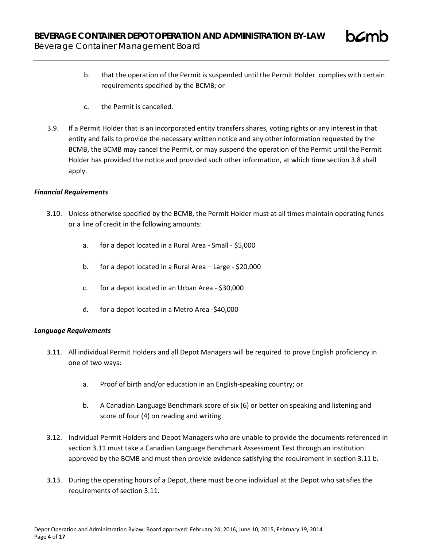- b. that the operation of the Permit is suspended until the Permit Holder complies with certain requirements specified by the BCMB; or
- c. the Permit is cancelled.
- 3.9. If a Permit Holder that is an incorporated entity transfers shares, voting rights or any interest in that entity and fails to provide the necessary written notice and any other information requested by the BCMB, the BCMB may cancel the Permit, or may suspend the operation of the Permit until the Permit Holder has provided the notice and provided such other information, at which time section 3.8 shall apply.

# *Financial Requirements*

- 3.10. Unless otherwise specified by the BCMB, the Permit Holder must at all times maintain operating funds or a line of credit in the following amounts:
	- a. for a depot located in a Rural Area Small \$5,000
	- b. for a depot located in a Rural Area Large \$20,000
	- c. for a depot located in an Urban Area \$30,000
	- d. for a depot located in a Metro Area -\$40,000

# *Language Requirements*

- 3.11. All individual Permit Holders and all Depot Managers will be required to prove English proficiency in one of two ways:
	- a. Proof of birth and/or education in an English-speaking country; or
	- b. A Canadian Language Benchmark score of six (6) or better on speaking and listening and score of four (4) on reading and writing.
- 3.12. Individual Permit Holders and Depot Managers who are unable to provide the documents referenced in section 3.11 must take a Canadian Language Benchmark Assessment Test through an institution approved by the BCMB and must then provide evidence satisfying the requirement in section 3.11 b.
- 3.13. During the operating hours of a Depot, there must be one individual at the Depot who satisfies the requirements of section 3.11.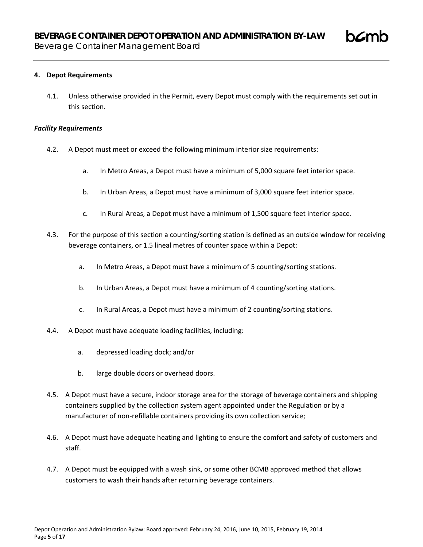## **4. Depot Requirements**

4.1. Unless otherwise provided in the Permit, every Depot must comply with the requirements set out in this section.

### *Facility Requirements*

- 4.2. A Depot must meet or exceed the following minimum interior size requirements:
	- a. In Metro Areas, a Depot must have a minimum of 5,000 square feet interior space.
	- b. In Urban Areas, a Depot must have a minimum of 3,000 square feet interior space.
	- c. In Rural Areas, a Depot must have a minimum of 1,500 square feet interior space.
- 4.3. For the purpose of this section a counting/sorting station is defined as an outside window for receiving beverage containers, or 1.5 lineal metres of counter space within a Depot:
	- a. In Metro Areas, a Depot must have a minimum of 5 counting/sorting stations.
	- b. In Urban Areas, a Depot must have a minimum of 4 counting/sorting stations.
	- c. In Rural Areas, a Depot must have a minimum of 2 counting/sorting stations.
- 4.4. A Depot must have adequate loading facilities, including:
	- a. depressed loading dock; and/or
	- b. large double doors or overhead doors.
- 4.5. A Depot must have a secure, indoor storage area for the storage of beverage containers and shipping containers supplied by the collection system agent appointed under the Regulation or by a manufacturer of non-refillable containers providing its own collection service;
- 4.6. A Depot must have adequate heating and lighting to ensure the comfort and safety of customers and staff.
- 4.7. A Depot must be equipped with a wash sink, or some other BCMB approved method that allows customers to wash their hands after returning beverage containers.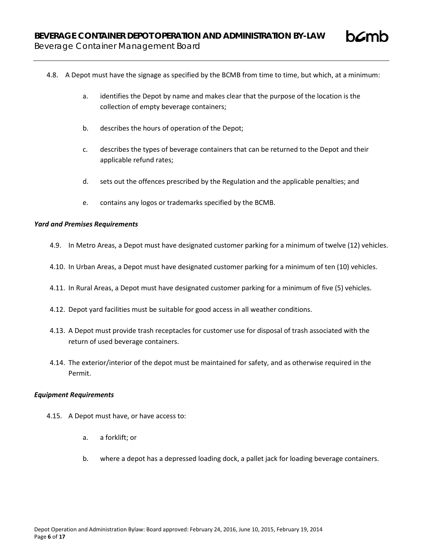- 4.8. A Depot must have the signage as specified by the BCMB from time to time, but which, at a minimum:
	- a. identifies the Depot by name and makes clear that the purpose of the location is the collection of empty beverage containers;
	- b. describes the hours of operation of the Depot;
	- c. describes the types of beverage containers that can be returned to the Depot and their applicable refund rates;
	- d. sets out the offences prescribed by the Regulation and the applicable penalties; and
	- e. contains any logos or trademarks specified by the BCMB.

## *Yard and Premises Requirements*

- 4.9. In Metro Areas, a Depot must have designated customer parking for a minimum of twelve (12) vehicles.
- 4.10. In Urban Areas, a Depot must have designated customer parking for a minimum of ten (10) vehicles.
- 4.11. In Rural Areas, a Depot must have designated customer parking for a minimum of five (5) vehicles.
- 4.12. Depot yard facilities must be suitable for good access in all weather conditions.
- 4.13. A Depot must provide trash receptacles for customer use for disposal of trash associated with the return of used beverage containers.
- 4.14. The exterior/interior of the depot must be maintained for safety, and as otherwise required in the Permit.

### *Equipment Requirements*

- 4.15. A Depot must have, or have access to:
	- a. a forklift; or
	- b. where a depot has a depressed loading dock, a pallet jack for loading beverage containers.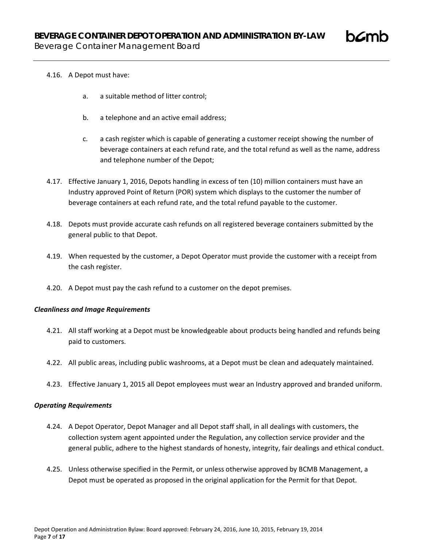# 4.16. A Depot must have:

- a. a suitable method of litter control;
- b. a telephone and an active email address;
- c. a cash register which is capable of generating a customer receipt showing the number of beverage containers at each refund rate, and the total refund as well as the name, address and telephone number of the Depot;
- 4.17. Effective January 1, 2016, Depots handling in excess of ten (10) million containers must have an Industry approved Point of Return (POR) system which displays to the customer the number of beverage containers at each refund rate, and the total refund payable to the customer.
- 4.18. Depots must provide accurate cash refunds on all registered beverage containers submitted by the general public to that Depot.
- 4.19. When requested by the customer, a Depot Operator must provide the customer with a receipt from the cash register.
- 4.20. A Depot must pay the cash refund to a customer on the depot premises.

### *Cleanliness and Image Requirements*

- 4.21. All staff working at a Depot must be knowledgeable about products being handled and refunds being paid to customers.
- 4.22. All public areas, including public washrooms, at a Depot must be clean and adequately maintained.
- 4.23. Effective January 1, 2015 all Depot employees must wear an Industry approved and branded uniform.

### *Operating Requirements*

- 4.24. A Depot Operator, Depot Manager and all Depot staff shall, in all dealings with customers, the collection system agent appointed under the Regulation, any collection service provider and the general public, adhere to the highest standards of honesty, integrity, fair dealings and ethical conduct.
- 4.25. Unless otherwise specified in the Permit, or unless otherwise approved by BCMB Management, a Depot must be operated as proposed in the original application for the Permit for that Depot.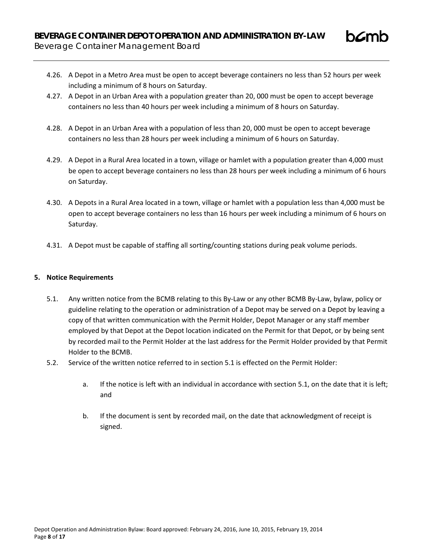- 4.26. A Depot in a Metro Area must be open to accept beverage containers no less than 52 hours per week including a minimum of 8 hours on Saturday.
- 4.27. A Depot in an Urban Area with a population greater than 20, 000 must be open to accept beverage containers no less than 40 hours per week including a minimum of 8 hours on Saturday.
- 4.28. A Depot in an Urban Area with a population of less than 20, 000 must be open to accept beverage containers no less than 28 hours per week including a minimum of 6 hours on Saturday.
- 4.29. A Depot in a Rural Area located in a town, village or hamlet with a population greater than 4,000 must be open to accept beverage containers no less than 28 hours per week including a minimum of 6 hours on Saturday.
- 4.30. A Depots in a Rural Area located in a town, village or hamlet with a population less than 4,000 must be open to accept beverage containers no less than 16 hours per week including a minimum of 6 hours on Saturday.
- 4.31. A Depot must be capable of staffing all sorting/counting stations during peak volume periods.

# **5. Notice Requirements**

- 5.1. Any written notice from the BCMB relating to this By-Law or any other BCMB By-Law, bylaw, policy or guideline relating to the operation or administration of a Depot may be served on a Depot by leaving a copy of that written communication with the Permit Holder, Depot Manager or any staff member employed by that Depot at the Depot location indicated on the Permit for that Depot, or by being sent by recorded mail to the Permit Holder at the last address for the Permit Holder provided by that Permit Holder to the BCMB.
- 5.2. Service of the written notice referred to in section 5.1 is effected on the Permit Holder:
	- a. If the notice is left with an individual in accordance with section 5.1, on the date that it is left; and
	- b. If the document is sent by recorded mail, on the date that acknowledgment of receipt is signed.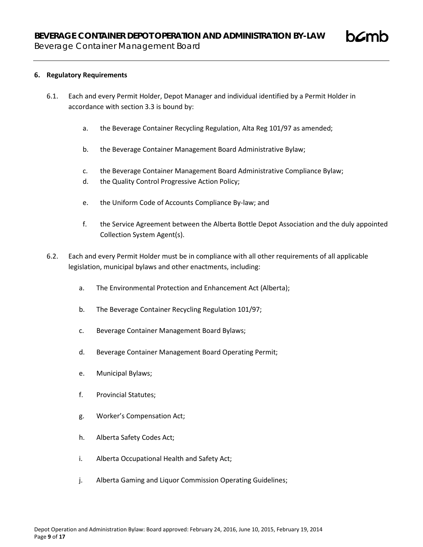## **6. Regulatory Requirements**

- 6.1. Each and every Permit Holder, Depot Manager and individual identified by a Permit Holder in accordance with section 3.3 is bound by:
	- a. the Beverage Container Recycling Regulation, Alta Reg 101/97 as amended;
	- b. the Beverage Container Management Board Administrative Bylaw;
	- c. the Beverage Container Management Board Administrative Compliance Bylaw;
	- d. the Quality Control Progressive Action Policy;
	- e. the Uniform Code of Accounts Compliance By-law; and
	- f. the Service Agreement between the Alberta Bottle Depot Association and the duly appointed Collection System Agent(s).
- 6.2. Each and every Permit Holder must be in compliance with all other requirements of all applicable legislation, municipal bylaws and other enactments, including:
	- a. The Environmental Protection and Enhancement Act (Alberta);
	- b. The Beverage Container Recycling Regulation 101/97;
	- c. Beverage Container Management Board Bylaws;
	- d. Beverage Container Management Board Operating Permit;
	- e. Municipal Bylaws;
	- f. Provincial Statutes;
	- g. Worker's Compensation Act;
	- h. Alberta Safety Codes Act;
	- i. Alberta Occupational Health and Safety Act;
	- j. Alberta Gaming and Liquor Commission Operating Guidelines;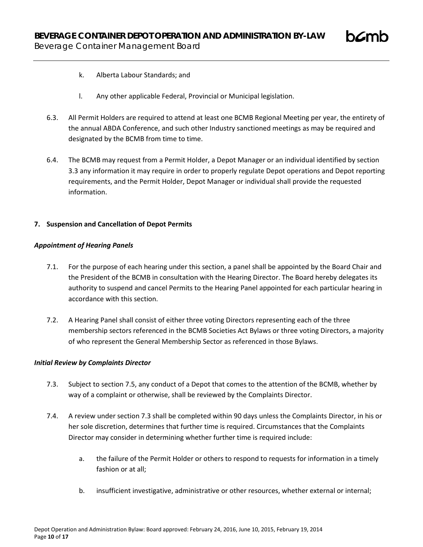

- k. Alberta Labour Standards; and
- l. Any other applicable Federal, Provincial or Municipal legislation.
- 6.3. All Permit Holders are required to attend at least one BCMB Regional Meeting per year, the entirety of the annual ABDA Conference, and such other Industry sanctioned meetings as may be required and designated by the BCMB from time to time.
- 6.4. The BCMB may request from a Permit Holder, a Depot Manager or an individual identified by section 3.3 any information it may require in order to properly regulate Depot operations and Depot reporting requirements, and the Permit Holder, Depot Manager or individual shall provide the requested information.

## **7. Suspension and Cancellation of Depot Permits**

### *Appointment of Hearing Panels*

- 7.1. For the purpose of each hearing under this section, a panel shall be appointed by the Board Chair and the President of the BCMB in consultation with the Hearing Director. The Board hereby delegates its authority to suspend and cancel Permits to the Hearing Panel appointed for each particular hearing in accordance with this section.
- 7.2. A Hearing Panel shall consist of either three voting Directors representing each of the three membership sectors referenced in the BCMB Societies Act Bylaws or three voting Directors, a majority of who represent the General Membership Sector as referenced in those Bylaws.

### *Initial Review by Complaints Director*

- 7.3. Subject to section 7.5, any conduct of a Depot that comes to the attention of the BCMB, whether by way of a complaint or otherwise, shall be reviewed by the Complaints Director.
- 7.4. A review under section 7.3 shall be completed within 90 days unless the Complaints Director, in his or her sole discretion, determines that further time is required. Circumstances that the Complaints Director may consider in determining whether further time is required include:
	- a. the failure of the Permit Holder or others to respond to requests for information in a timely fashion or at all;
	- b. insufficient investigative, administrative or other resources, whether external or internal;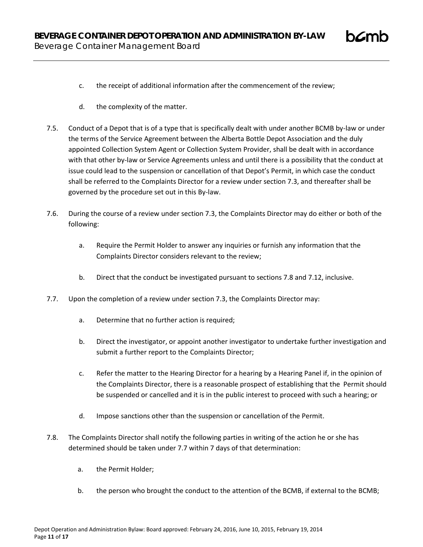- 
- c. the receipt of additional information after the commencement of the review;
- d. the complexity of the matter.
- 7.5. Conduct of a Depot that is of a type that is specifically dealt with under another BCMB by-law or under the terms of the Service Agreement between the Alberta Bottle Depot Association and the duly appointed Collection System Agent or Collection System Provider, shall be dealt with in accordance with that other by-law or Service Agreements unless and until there is a possibility that the conduct at issue could lead to the suspension or cancellation of that Depot's Permit, in which case the conduct shall be referred to the Complaints Director for a review under section 7.3, and thereafter shall be governed by the procedure set out in this By-law.
- 7.6. During the course of a review under section 7.3, the Complaints Director may do either or both of the following:
	- a. Require the Permit Holder to answer any inquiries or furnish any information that the Complaints Director considers relevant to the review;
	- b. Direct that the conduct be investigated pursuant to sections 7.8 and 7.12, inclusive.
- 7.7. Upon the completion of a review under section 7.3, the Complaints Director may:
	- a. Determine that no further action is required;
	- b. Direct the investigator, or appoint another investigator to undertake further investigation and submit a further report to the Complaints Director;
	- c. Refer the matter to the Hearing Director for a hearing by a Hearing Panel if, in the opinion of the Complaints Director, there is a reasonable prospect of establishing that the Permit should be suspended or cancelled and it is in the public interest to proceed with such a hearing; or
	- d. Impose sanctions other than the suspension or cancellation of the Permit.
- 7.8. The Complaints Director shall notify the following parties in writing of the action he or she has determined should be taken under 7.7 within 7 days of that determination:
	- a. the Permit Holder;
	- b. the person who brought the conduct to the attention of the BCMB, if external to the BCMB;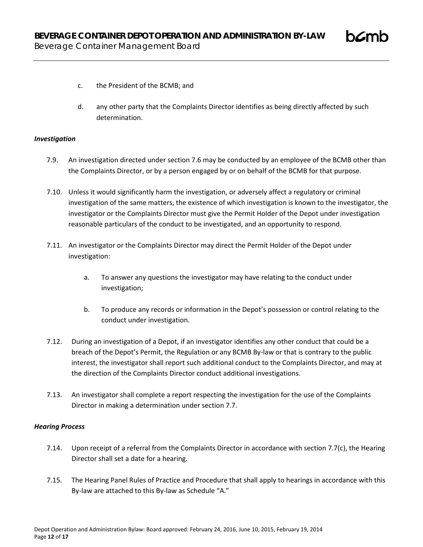

- c. the President of the BCMB; and
- d. any other party that the Complaints Director identifies as being directly affected by such determination.

# *Investigation*

- 7.9. An investigation directed under section 7.6 may be conducted by an employee of the BCMB other than the Complaints Director, or by a person engaged by or on behalf of the BCMB for that purpose.
- 7.10. Unless it would significantly harm the investigation, or adversely affect a regulatory or criminal investigation of the same matters, the existence of which investigation is known to the investigator, the investigator or the Complaints Director must give the Permit Holder of the Depot under investigation reasonable particulars of the conduct to be investigated, and an opportunity to respond.
- 7.11. An investigator or the Complaints Director may direct the Permit Holder of the Depot under investigation:
	- a. To answer any questions the investigator may have relating to the conduct under investigation;
	- b. To produce any records or information in the Depot's possession or control relating to the conduct under investigation.
- 7.12. During an investigation of a Depot, if an investigator identifies any other conduct that could be a breach of the Depot's Permit, the Regulation or any BCMB By-law or that is contrary to the public interest, the investigator shall report such additional conduct to the Complaints Director, and may at the direction of the Complaints Director conduct additional investigations.
- 7.13. An investigator shall complete a report respecting the investigation for the use of the Complaints Director in making a determination under section 7.7.

### *Hearing Process*

- 7.14. Upon receipt of a referral from the Complaints Director in accordance with section 7.7(c), the Hearing Director shall set a date for a hearing.
- 7.15. The Hearing Panel Rules of Practice and Procedure that shall apply to hearings in accordance with this By-law are attached to this By-law as Schedule "A."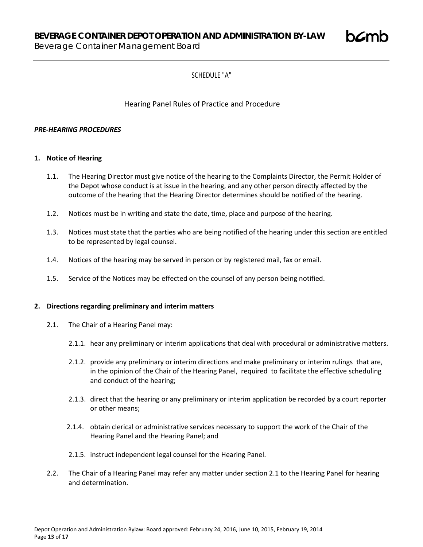**BEVERAGE CONTAINER DEPOT OPERATION AND ADMINISTRATION BY-LAW**

Beverage Container Management Board

# SCHEDULE "A"

# Hearing Panel Rules of Practice and Procedure

# *PRE-HEARING PROCEDURES*

# **1. Notice of Hearing**

- 1.1. The Hearing Director must give notice of the hearing to the Complaints Director, the Permit Holder of the Depot whose conduct is at issue in the hearing, and any other person directly affected by the outcome of the hearing that the Hearing Director determines should be notified of the hearing.
- 1.2. Notices must be in writing and state the date, time, place and purpose of the hearing.
- 1.3. Notices must state that the parties who are being notified of the hearing under this section are entitled to be represented by legal counsel.
- 1.4. Notices of the hearing may be served in person or by registered mail, fax or email.
- 1.5. Service of the Notices may be effected on the counsel of any person being notified.

# **2. Directions regarding preliminary and interim matters**

- 2.1. The Chair of a Hearing Panel may:
	- 2.1.1. hear any preliminary or interim applications that deal with procedural or administrative matters.
	- 2.1.2. provide any preliminary or interim directions and make preliminary or interim rulings that are, in the opinion of the Chair of the Hearing Panel, required to facilitate the effective scheduling and conduct of the hearing;
	- 2.1.3. direct that the hearing or any preliminary or interim application be recorded by a court reporter or other means;
	- 2.1.4. obtain clerical or administrative services necessary to support the work of the Chair of the Hearing Panel and the Hearing Panel; and
	- 2.1.5. instruct independent legal counsel for the Hearing Panel.
- 2.2. The Chair of a Hearing Panel may refer any matter under section 2.1 to the Hearing Panel for hearing and determination.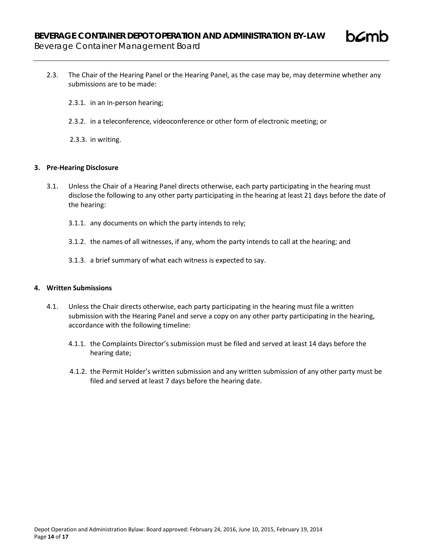

- 2.3.1. in an in-person hearing;
- 2.3.2. in a teleconference, videoconference or other form of electronic meeting; or
- 2.3.3. in writing.

### **3. Pre-Hearing Disclosure**

- 3.1. Unless the Chair of a Hearing Panel directs otherwise, each party participating in the hearing must disclose the following to any other party participating in the hearing at least 21 days before the date of the hearing:
	- 3.1.1. any documents on which the party intends to rely;
	- 3.1.2. the names of all witnesses, if any, whom the party intends to call at the hearing; and
	- 3.1.3. a brief summary of what each witness is expected to say.

## **4. Written Submissions**

- 4.1. Unless the Chair directs otherwise, each party participating in the hearing must file a written submission with the Hearing Panel and serve a copy on any other party participating in the hearing, accordance with the following timeline:
	- 4.1.1. the Complaints Director's submission must be filed and served at least 14 days before the hearing date;
	- 4.1.2. the Permit Holder's written submission and any written submission of any other party must be filed and served at least 7 days before the hearing date.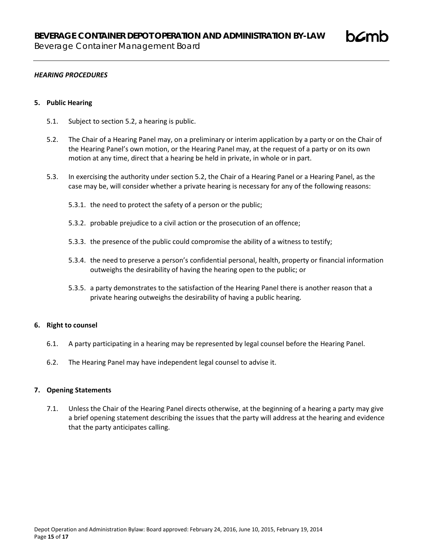### *HEARING PROCEDURES*

### **5. Public Hearing**

- 5.1. Subject to section 5.2, a hearing is public.
- 5.2. The Chair of a Hearing Panel may, on a preliminary or interim application by a party or on the Chair of the Hearing Panel's own motion, or the Hearing Panel may, at the request of a party or on its own motion at any time, direct that a hearing be held in private, in whole or in part.
- 5.3. In exercising the authority under section 5.2, the Chair of a Hearing Panel or a Hearing Panel, as the case may be, will consider whether a private hearing is necessary for any of the following reasons:
	- 5.3.1. the need to protect the safety of a person or the public;
	- 5.3.2. probable prejudice to a civil action or the prosecution of an offence;
	- 5.3.3. the presence of the public could compromise the ability of a witness to testify;
	- 5.3.4. the need to preserve a person's confidential personal, health, property or financial information outweighs the desirability of having the hearing open to the public; or
	- 5.3.5. a party demonstrates to the satisfaction of the Hearing Panel there is another reason that a private hearing outweighs the desirability of having a public hearing.

### **6. Right to counsel**

- 6.1. A party participating in a hearing may be represented by legal counsel before the Hearing Panel.
- 6.2. The Hearing Panel may have independent legal counsel to advise it.

#### **7. Opening Statements**

7.1. Unless the Chair of the Hearing Panel directs otherwise, at the beginning of a hearing a party may give a brief opening statement describing the issues that the party will address at the hearing and evidence that the party anticipates calling.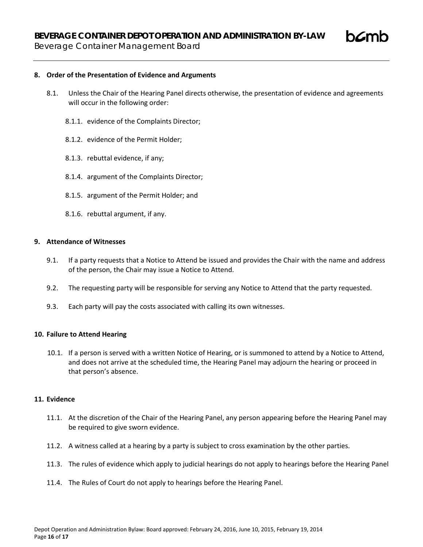Beverage Container Management Board

## **8. Order of the Presentation of Evidence and Arguments**

- 8.1. Unless the Chair of the Hearing Panel directs otherwise, the presentation of evidence and agreements will occur in the following order:
	- 8.1.1. evidence of the Complaints Director;
	- 8.1.2. evidence of the Permit Holder;
	- 8.1.3. rebuttal evidence, if any;
	- 8.1.4. argument of the Complaints Director;
	- 8.1.5. argument of the Permit Holder; and
	- 8.1.6. rebuttal argument, if any.

### **9. Attendance of Witnesses**

- 9.1. If a party requests that a Notice to Attend be issued and provides the Chair with the name and address of the person, the Chair may issue a Notice to Attend.
- 9.2. The requesting party will be responsible for serving any Notice to Attend that the party requested.
- 9.3. Each party will pay the costs associated with calling its own witnesses.

### **10. Failure to Attend Hearing**

10.1. If a person is served with a written Notice of Hearing, or is summoned to attend by a Notice to Attend, and does not arrive at the scheduled time, the Hearing Panel may adjourn the hearing or proceed in that person's absence.

### **11. Evidence**

- 11.1. At the discretion of the Chair of the Hearing Panel, any person appearing before the Hearing Panel may be required to give sworn evidence.
- 11.2. A witness called at a hearing by a party is subject to cross examination by the other parties.
- 11.3. The rules of evidence which apply to judicial hearings do not apply to hearings before the Hearing Panel
- 11.4. The Rules of Court do not apply to hearings before the Hearing Panel.